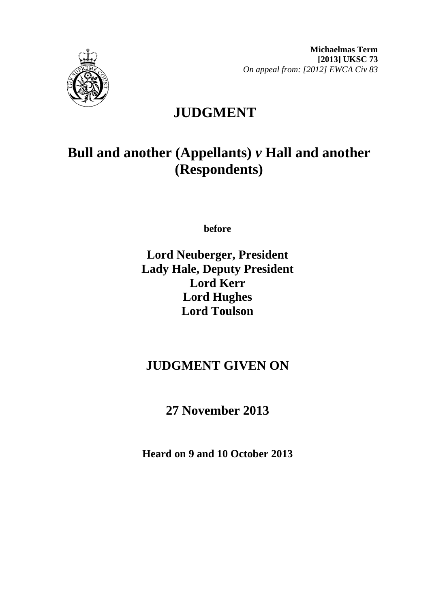

**Michaelmas Term [2013] UKSC 73**  *On appeal from: [2012] EWCA Civ 83* 

# **JUDGMENT**

# **Bull and another (Appellants)** *v* **Hall and another (Respondents)**

**before** 

**Lord Neuberger, President Lady Hale, Deputy President Lord Kerr Lord Hughes Lord Toulson**

# **JUDGMENT GIVEN ON**

**27 November 2013** 

**Heard on 9 and 10 October 2013**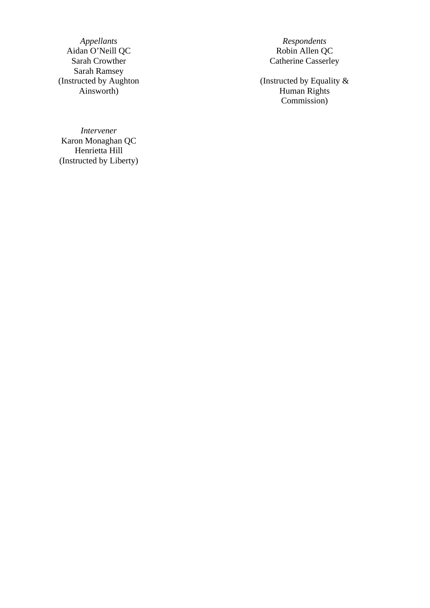*Appellants*  Aidan O'Neill QC Sarah Crowther Sarah Ramsey (Instructed by Aughton Ainsworth)

*Intervener*  Karon Monaghan QC Henrietta Hill (Instructed by Liberty)

*Respondents*  Robin Allen QC Catherine Casserley

(Instructed by Equality & Human Rights Commission)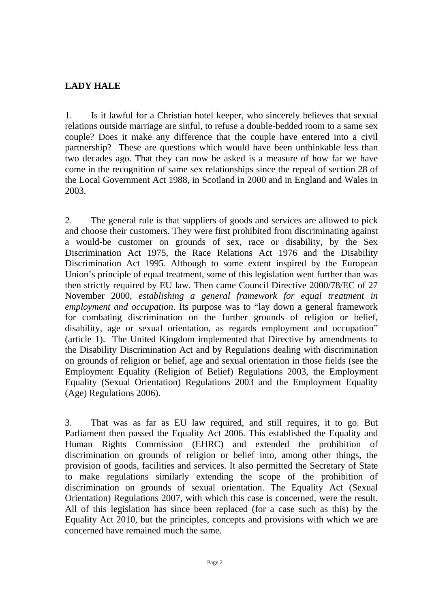### **LADY HALE**

1. Is it lawful for a Christian hotel keeper, who sincerely believes that sexual relations outside marriage are sinful, to refuse a double-bedded room to a same sex couple? Does it make any difference that the couple have entered into a civil partnership? These are questions which would have been unthinkable less than two decades ago. That they can now be asked is a measure of how far we have come in the recognition of same sex relationships since the repeal of section 28 of the Local Government Act 1988, in Scotland in 2000 and in England and Wales in 2003.

2. The general rule is that suppliers of goods and services are allowed to pick and choose their customers. They were first prohibited from discriminating against a would-be customer on grounds of sex, race or disability, by the Sex Discrimination Act 1975, the Race Relations Act 1976 and the Disability Discrimination Act 1995. Although to some extent inspired by the European Union's principle of equal treatment, some of this legislation went further than was then strictly required by EU law. Then came Council Directive 2000/78/EC of 27 November 2000, *establishing a general framework for equal treatment in employment and occupation*. Its purpose was to "lay down a general framework for combating discrimination on the further grounds of religion or belief, disability, age or sexual orientation, as regards employment and occupation" (article 1). The United Kingdom implemented that Directive by amendments to the Disability Discrimination Act and by Regulations dealing with discrimination on grounds of religion or belief, age and sexual orientation in those fields (see the Employment Equality (Religion of Belief) Regulations 2003, the Employment Equality (Sexual Orientation) Regulations 2003 and the Employment Equality (Age) Regulations 2006).

3. That was as far as EU law required, and still requires, it to go. But Parliament then passed the Equality Act 2006. This established the Equality and Human Rights Commission (EHRC) and extended the prohibition of discrimination on grounds of religion or belief into, among other things, the provision of goods, facilities and services. It also permitted the Secretary of State to make regulations similarly extending the scope of the prohibition of discrimination on grounds of sexual orientation. The Equality Act (Sexual Orientation) Regulations 2007, with which this case is concerned, were the result. All of this legislation has since been replaced (for a case such as this) by the Equality Act 2010, but the principles, concepts and provisions with which we are concerned have remained much the same.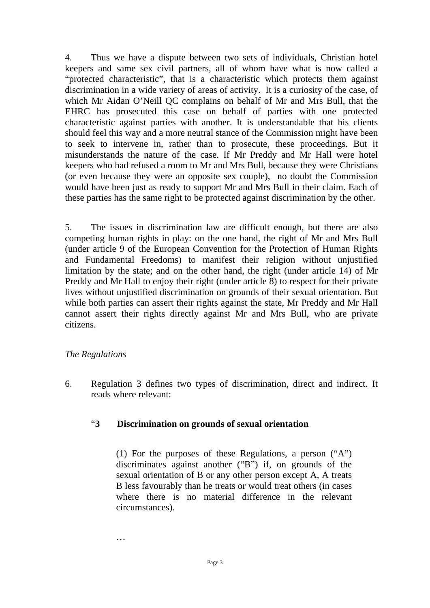4. Thus we have a dispute between two sets of individuals, Christian hotel keepers and same sex civil partners, all of whom have what is now called a "protected characteristic", that is a characteristic which protects them against discrimination in a wide variety of areas of activity. It is a curiosity of the case, of which Mr Aidan O'Neill QC complains on behalf of Mr and Mrs Bull, that the EHRC has prosecuted this case on behalf of parties with one protected characteristic against parties with another. It is understandable that his clients should feel this way and a more neutral stance of the Commission might have been to seek to intervene in, rather than to prosecute, these proceedings. But it misunderstands the nature of the case. If Mr Preddy and Mr Hall were hotel keepers who had refused a room to Mr and Mrs Bull, because they were Christians (or even because they were an opposite sex couple), no doubt the Commission would have been just as ready to support Mr and Mrs Bull in their claim. Each of these parties has the same right to be protected against discrimination by the other.

5. The issues in discrimination law are difficult enough, but there are also competing human rights in play: on the one hand, the right of Mr and Mrs Bull (under article 9 of the European Convention for the Protection of Human Rights and Fundamental Freedoms) to manifest their religion without unjustified limitation by the state; and on the other hand, the right (under article 14) of Mr Preddy and Mr Hall to enjoy their right (under article 8) to respect for their private lives without unjustified discrimination on grounds of their sexual orientation. But while both parties can assert their rights against the state, Mr Preddy and Mr Hall cannot assert their rights directly against Mr and Mrs Bull, who are private citizens.

#### *The Regulations*

6. Regulation 3 defines two types of discrimination, direct and indirect. It reads where relevant:

#### "**3 Discrimination on grounds of sexual orientation**

(1) For the purposes of these Regulations, a person ("A") discriminates against another ("B") if, on grounds of the sexual orientation of B or any other person except A, A treats B less favourably than he treats or would treat others (in cases where there is no material difference in the relevant circumstances).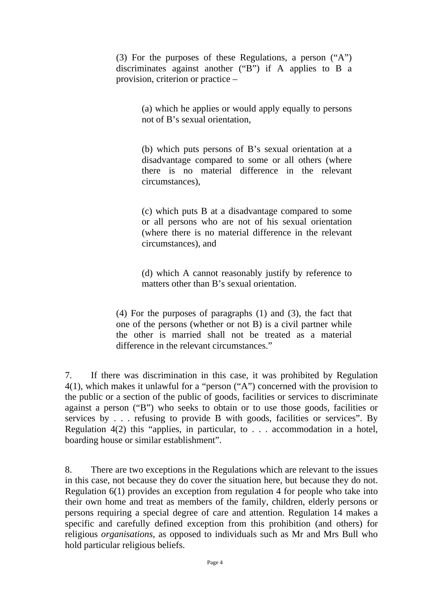(3) For the purposes of these Regulations, a person ("A") discriminates against another ("B") if A applies to B a provision, criterion or practice –

> (a) which he applies or would apply equally to persons not of B's sexual orientation,

> (b) which puts persons of B's sexual orientation at a disadvantage compared to some or all others (where there is no material difference in the relevant circumstances),

> (c) which puts B at a disadvantage compared to some or all persons who are not of his sexual orientation (where there is no material difference in the relevant circumstances), and

> (d) which A cannot reasonably justify by reference to matters other than B's sexual orientation.

(4) For the purposes of paragraphs (1) and (3), the fact that one of the persons (whether or not B) is a civil partner while the other is married shall not be treated as a material difference in the relevant circumstances."

7. If there was discrimination in this case, it was prohibited by Regulation 4(1), which makes it unlawful for a "person ("A") concerned with the provision to the public or a section of the public of goods, facilities or services to discriminate against a person ("B") who seeks to obtain or to use those goods, facilities or services by . . . refusing to provide B with goods, facilities or services". By Regulation  $4(2)$  this "applies, in particular, to . . . accommodation in a hotel, boarding house or similar establishment".

8. There are two exceptions in the Regulations which are relevant to the issues in this case, not because they do cover the situation here, but because they do not. Regulation 6(1) provides an exception from regulation 4 for people who take into their own home and treat as members of the family, children, elderly persons or persons requiring a special degree of care and attention. Regulation 14 makes a specific and carefully defined exception from this prohibition (and others) for religious *organisations*, as opposed to individuals such as Mr and Mrs Bull who hold particular religious beliefs.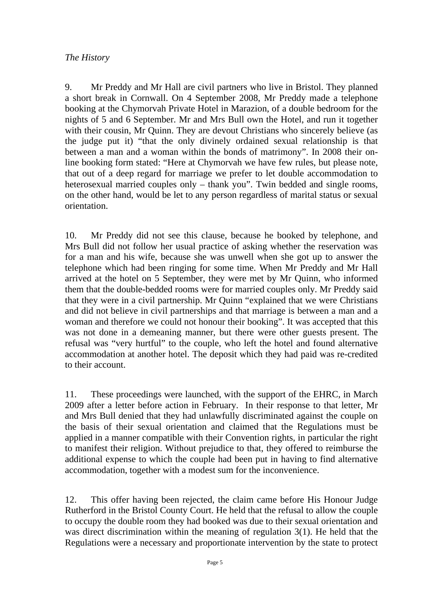#### *The History*

orientation. 9. Mr Preddy and Mr Hall are civil partners who live in Bristol. They planned a short break in Cornwall. On 4 September 2008, Mr Preddy made a telephone booking at the Chymorvah Private Hotel in Marazion, of a double bedroom for the nights of 5 and 6 September. Mr and Mrs Bull own the Hotel, and run it together with their cousin, Mr Ouinn. They are devout Christians who sincerely believe (as the judge put it) "that the only divinely ordained sexual relationship is that between a man and a woman within the bonds of matrimony". In 2008 their online booking form stated: "Here at Chymorvah we have few rules, but please note, that out of a deep regard for marriage we prefer to let double accommodation to heterosexual married couples only – thank you". Twin bedded and single rooms, on the other hand, would be let to any person regardless of marital status or sexual

10. Mr Preddy did not see this clause, because he booked by telephone, and Mrs Bull did not follow her usual practice of asking whether the reservation was for a man and his wife, because she was unwell when she got up to answer the telephone which had been ringing for some time. When Mr Preddy and Mr Hall arrived at the hotel on 5 September, they were met by Mr Quinn, who informed them that the double-bedded rooms were for married couples only. Mr Preddy said that they were in a civil partnership. Mr Quinn "explained that we were Christians and did not believe in civil partnerships and that marriage is between a man and a woman and therefore we could not honour their booking". It was accepted that this was not done in a demeaning manner, but there were other guests present. The refusal was "very hurtful" to the couple, who left the hotel and found alternative accommodation at another hotel. The deposit which they had paid was re-credited to their account.

11. These proceedings were launched, with the support of the EHRC, in March 2009 after a letter before action in February. In their response to that letter, Mr and Mrs Bull denied that they had unlawfully discriminated against the couple on the basis of their sexual orientation and claimed that the Regulations must be applied in a manner compatible with their Convention rights, in particular the right to manifest their religion. Without prejudice to that, they offered to reimburse the additional expense to which the couple had been put in having to find alternative accommodation, together with a modest sum for the inconvenience.

12. This offer having been rejected, the claim came before His Honour Judge Rutherford in the Bristol County Court. He held that the refusal to allow the couple to occupy the double room they had booked was due to their sexual orientation and was direct discrimination within the meaning of regulation 3(1). He held that the Regulations were a necessary and proportionate intervention by the state to protect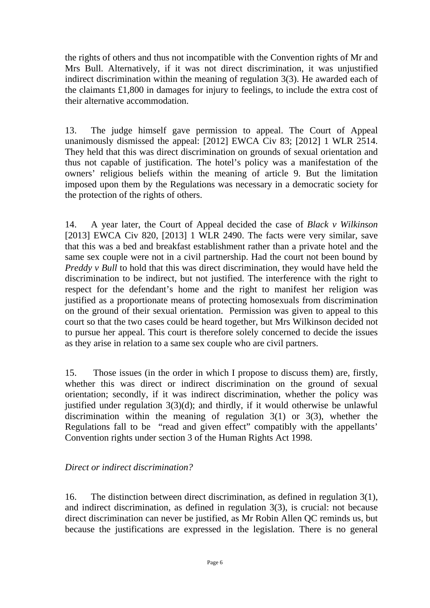the rights of others and thus not incompatible with the Convention rights of Mr and Mrs Bull. Alternatively, if it was not direct discrimination, it was unjustified indirect discrimination within the meaning of regulation 3(3). He awarded each of the claimants £1,800 in damages for injury to feelings, to include the extra cost of their alternative accommodation.

13. The judge himself gave permission to appeal. The Court of Appeal unanimously dismissed the appeal: [2012] EWCA Civ 83; [2012] 1 WLR 2514. They held that this was direct discrimination on grounds of sexual orientation and thus not capable of justification. The hotel's policy was a manifestation of the owners' religious beliefs within the meaning of article 9. But the limitation imposed upon them by the Regulations was necessary in a democratic society for the protection of the rights of others.

14. A year later, the Court of Appeal decided the case of *Black v Wilkinson*  [2013] EWCA Civ 820, [2013] 1 WLR 2490. The facts were very similar, save that this was a bed and breakfast establishment rather than a private hotel and the same sex couple were not in a civil partnership. Had the court not been bound by *Preddy v Bull* to hold that this was direct discrimination, they would have held the discrimination to be indirect, but not justified. The interference with the right to respect for the defendant's home and the right to manifest her religion was justified as a proportionate means of protecting homosexuals from discrimination on the ground of their sexual orientation. Permission was given to appeal to this court so that the two cases could be heard together, but Mrs Wilkinson decided not to pursue her appeal. This court is therefore solely concerned to decide the issues as they arise in relation to a same sex couple who are civil partners.

15. Those issues (in the order in which I propose to discuss them) are, firstly, whether this was direct or indirect discrimination on the ground of sexual orientation; secondly, if it was indirect discrimination, whether the policy was justified under regulation 3(3)(d); and thirdly, if it would otherwise be unlawful discrimination within the meaning of regulation 3(1) or 3(3), whether the Regulations fall to be "read and given effect" compatibly with the appellants' Convention rights under section 3 of the Human Rights Act 1998.

# *Direct or indirect discrimination?*

16. The distinction between direct discrimination, as defined in regulation 3(1), and indirect discrimination, as defined in regulation 3(3), is crucial: not because direct discrimination can never be justified, as Mr Robin Allen QC reminds us, but because the justifications are expressed in the legislation. There is no general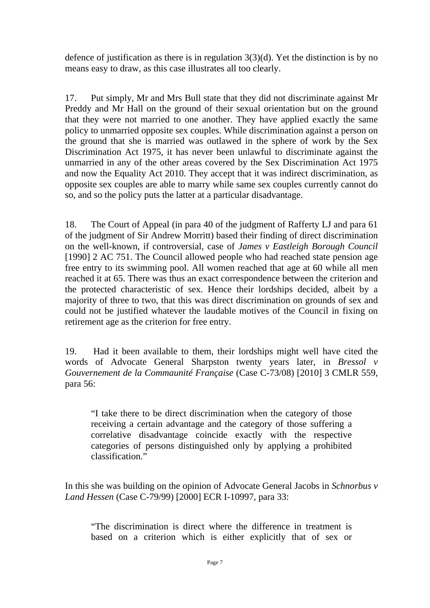defence of justification as there is in regulation 3(3)(d). Yet the distinction is by no means easy to draw, as this case illustrates all too clearly.

17. Put simply, Mr and Mrs Bull state that they did not discriminate against Mr Preddy and Mr Hall on the ground of their sexual orientation but on the ground that they were not married to one another. They have applied exactly the same policy to unmarried opposite sex couples. While discrimination against a person on the ground that she is married was outlawed in the sphere of work by the Sex Discrimination Act 1975, it has never been unlawful to discriminate against the unmarried in any of the other areas covered by the Sex Discrimination Act 1975 and now the Equality Act 2010. They accept that it was indirect discrimination, as opposite sex couples are able to marry while same sex couples currently cannot do so, and so the policy puts the latter at a particular disadvantage.

18. The Court of Appeal (in para 40 of the judgment of Rafferty LJ and para 61 of the judgment of Sir Andrew Morritt) based their finding of direct discrimination on the well-known, if controversial, case of *James v Eastleigh Borough Council*  [1990] 2 AC 751. The Council allowed people who had reached state pension age free entry to its swimming pool. All women reached that age at 60 while all men reached it at 65. There was thus an exact correspondence between the criterion and the protected characteristic of sex. Hence their lordships decided, albeit by a majority of three to two, that this was direct discrimination on grounds of sex and could not be justified whatever the laudable motives of the Council in fixing on retirement age as the criterion for free entry.

19. Had it been available to them, their lordships might well have cited the words of Advocate General Sharpston twenty years later, in *Bressol v Gouvernement de la Commaunité Française* (Case C-73/08) [2010] 3 CMLR 559, para 56:

"I take there to be direct discrimination when the category of those receiving a certain advantage and the category of those suffering a correlative disadvantage coincide exactly with the respective categories of persons distinguished only by applying a prohibited classification."

In this she was building on the opinion of Advocate General Jacobs in *Schnorbus v Land Hessen* (Case C-79/99) [2000] ECR I-10997, para 33:

"The discrimination is direct where the difference in treatment is based on a criterion which is either explicitly that of sex or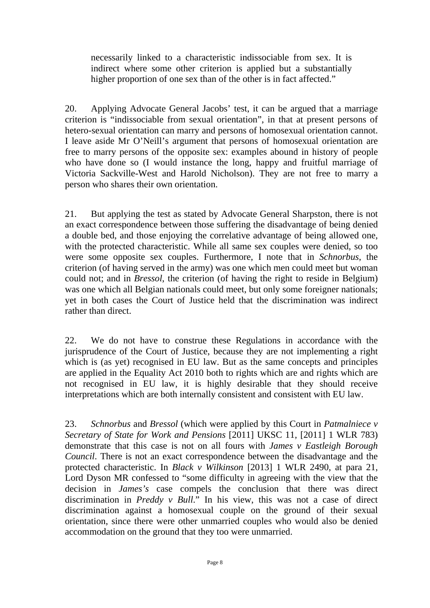necessarily linked to a characteristic indissociable from sex. It is indirect where some other criterion is applied but a substantially higher proportion of one sex than of the other is in fact affected."

20. Applying Advocate General Jacobs' test, it can be argued that a marriage criterion is "indissociable from sexual orientation", in that at present persons of hetero-sexual orientation can marry and persons of homosexual orientation cannot. I leave aside Mr O'Neill's argument that persons of homosexual orientation are free to marry persons of the opposite sex: examples abound in history of people who have done so (I would instance the long, happy and fruitful marriage of Victoria Sackville-West and Harold Nicholson). They are not free to marry a person who shares their own orientation.

21. But applying the test as stated by Advocate General Sharpston, there is not an exact correspondence between those suffering the disadvantage of being denied a double bed, and those enjoying the correlative advantage of being allowed one, with the protected characteristic. While all same sex couples were denied, so too were some opposite sex couples. Furthermore, I note that in *Schnorbus*, the criterion (of having served in the army) was one which men could meet but woman could not; and in *Bressol*, the criterion (of having the right to reside in Belgium) was one which all Belgian nationals could meet, but only some foreigner nationals; yet in both cases the Court of Justice held that the discrimination was indirect rather than direct.

22. We do not have to construe these Regulations in accordance with the jurisprudence of the Court of Justice, because they are not implementing a right which is (as yet) recognised in EU law. But as the same concepts and principles are applied in the Equality Act 2010 both to rights which are and rights which are not recognised in EU law, it is highly desirable that they should receive interpretations which are both internally consistent and consistent with EU law.

23. *Schnorbus* and *Bressol* (which were applied by this Court in *Patmalniece v Secretary of State for Work and Pensions* [2011] UKSC 11, [2011] 1 WLR 783) demonstrate that this case is not on all fours with *James v Eastleigh Borough Council*. There is not an exact correspondence between the disadvantage and the protected characteristic. In *Black v Wilkinson* [2013] 1 WLR 2490, at para 21, Lord Dyson MR confessed to "some difficulty in agreeing with the view that the decision in *James's* case compels the conclusion that there was direct discrimination in *Preddy v Bull*." In his view, this was not a case of direct discrimination against a homosexual couple on the ground of their sexual orientation, since there were other unmarried couples who would also be denied accommodation on the ground that they too were unmarried.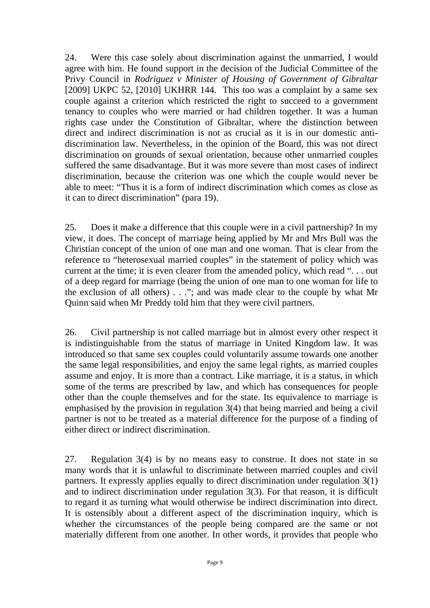24. Were this case solely about discrimination against the unmarried, I would agree with him. He found support in the decision of the Judicial Committee of the Privy Council in *Rodriguez v Minister of Housing of Government of Gibraltar*  [2009] UKPC 52, [2010] UKHRR 144. This too was a complaint by a same sex couple against a criterion which restricted the right to succeed to a government tenancy to couples who were married or had children together. It was a human rights case under the Constitution of Gibraltar, where the distinction between direct and indirect discrimination is not as crucial as it is in our domestic antidiscrimination law. Nevertheless, in the opinion of the Board, this was not direct discrimination on grounds of sexual orientation, because other unmarried couples suffered the same disadvantage. But it was more severe than most cases of indirect discrimination, because the criterion was one which the couple would never be able to meet: "Thus it is a form of indirect discrimination which comes as close as it can to direct discrimination" (para 19).

25. Does it make a difference that this couple were in a civil partnership? In my view, it does. The concept of marriage being applied by Mr and Mrs Bull was the Christian concept of the union of one man and one woman. That is clear from the reference to "heterosexual married couples" in the statement of policy which was current at the time; it is even clearer from the amended policy, which read ". . . out of a deep regard for marriage (being the union of one man to one woman for life to the exclusion of all others)  $\ldots$ "; and was made clear to the couple by what Mr Quinn said when Mr Preddy told him that they were civil partners.

26. Civil partnership is not called marriage but in almost every other respect it is indistinguishable from the status of marriage in United Kingdom law. It was introduced so that same sex couples could voluntarily assume towards one another the same legal responsibilities, and enjoy the same legal rights, as married couples assume and enjoy. It is more than a contract. Like marriage, it is a status, in which some of the terms are prescribed by law, and which has consequences for people other than the couple themselves and for the state. Its equivalence to marriage is emphasised by the provision in regulation 3(4) that being married and being a civil partner is not to be treated as a material difference for the purpose of a finding of either direct or indirect discrimination.

27. Regulation 3(4) is by no means easy to construe. It does not state in so many words that it is unlawful to discriminate between married couples and civil partners. It expressly applies equally to direct discrimination under regulation 3(1) and to indirect discrimination under regulation 3(3). For that reason, it is difficult to regard it as turning what would otherwise be indirect discrimination into direct. It is ostensibly about a different aspect of the discrimination inquiry, which is whether the circumstances of the people being compared are the same or not materially different from one another. In other words, it provides that people who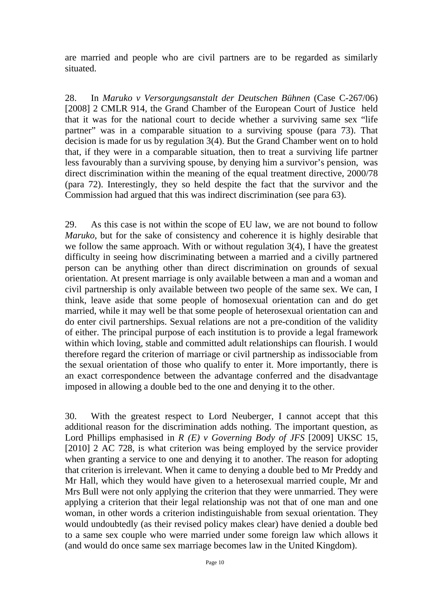are married and people who are civil partners are to be regarded as similarly situated.

28. In *Maruko v Versorgungsanstalt der Deutschen Bühnen* (Case C-267/06) [2008] 2 CMLR 914, the Grand Chamber of the European Court of Justice held that it was for the national court to decide whether a surviving same sex "life partner" was in a comparable situation to a surviving spouse (para 73). That decision is made for us by regulation 3(4). But the Grand Chamber went on to hold that, if they were in a comparable situation, then to treat a surviving life partner less favourably than a surviving spouse, by denying him a survivor's pension, was direct discrimination within the meaning of the equal treatment directive, 2000/78 (para 72). Interestingly, they so held despite the fact that the survivor and the Commission had argued that this was indirect discrimination (see para 63).

29. As this case is not within the scope of EU law, we are not bound to follow *Maruko*, but for the sake of consistency and coherence it is highly desirable that we follow the same approach. With or without regulation 3(4), I have the greatest difficulty in seeing how discriminating between a married and a civilly partnered person can be anything other than direct discrimination on grounds of sexual orientation. At present marriage is only available between a man and a woman and civil partnership is only available between two people of the same sex. We can, I think, leave aside that some people of homosexual orientation can and do get married, while it may well be that some people of heterosexual orientation can and do enter civil partnerships. Sexual relations are not a pre-condition of the validity of either. The principal purpose of each institution is to provide a legal framework within which loving, stable and committed adult relationships can flourish. I would therefore regard the criterion of marriage or civil partnership as indissociable from the sexual orientation of those who qualify to enter it. More importantly, there is an exact correspondence between the advantage conferred and the disadvantage imposed in allowing a double bed to the one and denying it to the other.

30. With the greatest respect to Lord Neuberger, I cannot accept that this additional reason for the discrimination adds nothing. The important question, as Lord Phillips emphasised in *R (E) v Governing Body of JFS* [2009] UKSC 15, [2010] 2 AC 728, is what criterion was being employed by the service provider when granting a service to one and denying it to another. The reason for adopting that criterion is irrelevant. When it came to denying a double bed to Mr Preddy and Mr Hall, which they would have given to a heterosexual married couple, Mr and Mrs Bull were not only applying the criterion that they were unmarried. They were applying a criterion that their legal relationship was not that of one man and one woman, in other words a criterion indistinguishable from sexual orientation. They would undoubtedly (as their revised policy makes clear) have denied a double bed to a same sex couple who were married under some foreign law which allows it (and would do once same sex marriage becomes law in the United Kingdom).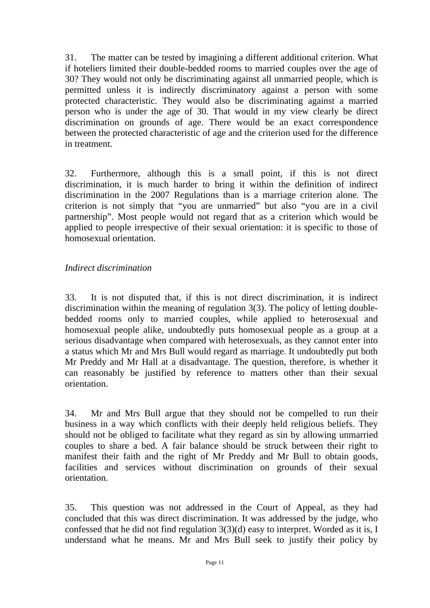31. The matter can be tested by imagining a different additional criterion. What if hoteliers limited their double-bedded rooms to married couples over the age of 30? They would not only be discriminating against all unmarried people, which is permitted unless it is indirectly discriminatory against a person with some protected characteristic. They would also be discriminating against a married person who is under the age of 30. That would in my view clearly be direct discrimination on grounds of age. There would be an exact correspondence between the protected characteristic of age and the criterion used for the difference in treatment.

32. Furthermore, although this is a small point, if this is not direct discrimination, it is much harder to bring it within the definition of indirect discrimination in the 2007 Regulations than is a marriage criterion alone. The criterion is not simply that "you are unmarried" but also "you are in a civil partnership". Most people would not regard that as a criterion which would be applied to people irrespective of their sexual orientation: it is specific to those of homosexual orientation.

#### *Indirect discrimination*

orientation. 33. It is not disputed that, if this is not direct discrimination, it is indirect discrimination within the meaning of regulation 3(3). The policy of letting doublebedded rooms only to married couples, while applied to heterosexual and homosexual people alike, undoubtedly puts homosexual people as a group at a serious disadvantage when compared with heterosexuals, as they cannot enter into a status which Mr and Mrs Bull would regard as marriage. It undoubtedly put both Mr Preddy and Mr Hall at a disadvantage. The question, therefore, is whether it can reasonably be justified by reference to matters other than their sexual

orientation. 34. Mr and Mrs Bull argue that they should not be compelled to run their business in a way which conflicts with their deeply held religious beliefs. They should not be obliged to facilitate what they regard as sin by allowing unmarried couples to share a bed. A fair balance should be struck between their right to manifest their faith and the right of Mr Preddy and Mr Bull to obtain goods, facilities and services without discrimination on grounds of their sexual

35. This question was not addressed in the Court of Appeal, as they had concluded that this was direct discrimination. It was addressed by the judge, who confessed that he did not find regulation 3(3)(d) easy to interpret. Worded as it is, I understand what he means. Mr and Mrs Bull seek to justify their policy by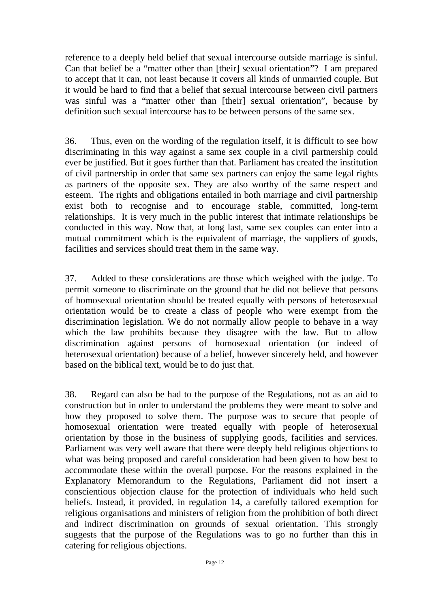reference to a deeply held belief that sexual intercourse outside marriage is sinful. Can that belief be a "matter other than [their] sexual orientation"? I am prepared to accept that it can, not least because it covers all kinds of unmarried couple. But it would be hard to find that a belief that sexual intercourse between civil partners was sinful was a "matter other than [their] sexual orientation", because by definition such sexual intercourse has to be between persons of the same sex.

36. Thus, even on the wording of the regulation itself, it is difficult to see how discriminating in this way against a same sex couple in a civil partnership could ever be justified. But it goes further than that. Parliament has created the institution of civil partnership in order that same sex partners can enjoy the same legal rights as partners of the opposite sex. They are also worthy of the same respect and esteem. The rights and obligations entailed in both marriage and civil partnership exist both to recognise and to encourage stable, committed, long-term relationships. It is very much in the public interest that intimate relationships be conducted in this way. Now that, at long last, same sex couples can enter into a mutual commitment which is the equivalent of marriage, the suppliers of goods, facilities and services should treat them in the same way.

37. Added to these considerations are those which weighed with the judge. To permit someone to discriminate on the ground that he did not believe that persons of homosexual orientation should be treated equally with persons of heterosexual orientation would be to create a class of people who were exempt from the discrimination legislation. We do not normally allow people to behave in a way which the law prohibits because they disagree with the law. But to allow discrimination against persons of homosexual orientation (or indeed of heterosexual orientation) because of a belief, however sincerely held, and however based on the biblical text, would be to do just that.

38. Regard can also be had to the purpose of the Regulations, not as an aid to construction but in order to understand the problems they were meant to solve and how they proposed to solve them. The purpose was to secure that people of homosexual orientation were treated equally with people of heterosexual orientation by those in the business of supplying goods, facilities and services. Parliament was very well aware that there were deeply held religious objections to what was being proposed and careful consideration had been given to how best to accommodate these within the overall purpose. For the reasons explained in the Explanatory Memorandum to the Regulations, Parliament did not insert a conscientious objection clause for the protection of individuals who held such beliefs. Instead, it provided, in regulation 14, a carefully tailored exemption for religious organisations and ministers of religion from the prohibition of both direct and indirect discrimination on grounds of sexual orientation. This strongly suggests that the purpose of the Regulations was to go no further than this in catering for religious objections.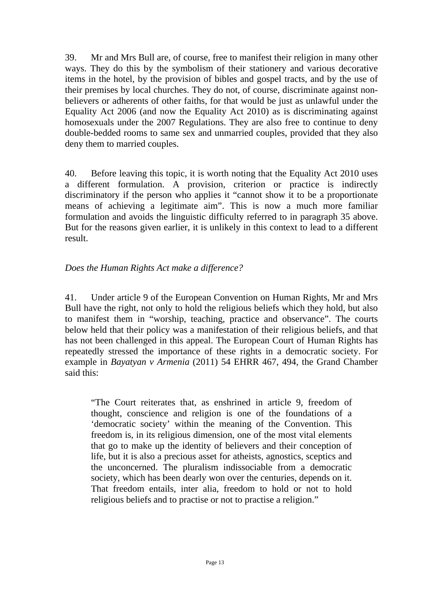39. Mr and Mrs Bull are, of course, free to manifest their religion in many other ways. They do this by the symbolism of their stationery and various decorative items in the hotel, by the provision of bibles and gospel tracts, and by the use of their premises by local churches. They do not, of course, discriminate against nonbelievers or adherents of other faiths, for that would be just as unlawful under the Equality Act 2006 (and now the Equality Act 2010) as is discriminating against homosexuals under the 2007 Regulations. They are also free to continue to deny double-bedded rooms to same sex and unmarried couples, provided that they also deny them to married couples.

40. Before leaving this topic, it is worth noting that the Equality Act 2010 uses a different formulation. A provision, criterion or practice is indirectly discriminatory if the person who applies it "cannot show it to be a proportionate means of achieving a legitimate aim". This is now a much more familiar formulation and avoids the linguistic difficulty referred to in paragraph 35 above. But for the reasons given earlier, it is unlikely in this context to lead to a different result.

#### *Does the Human Rights Act make a difference?*

41. Under article 9 of the European Convention on Human Rights, Mr and Mrs Bull have the right, not only to hold the religious beliefs which they hold, but also to manifest them in "worship, teaching, practice and observance". The courts below held that their policy was a manifestation of their religious beliefs, and that has not been challenged in this appeal. The European Court of Human Rights has repeatedly stressed the importance of these rights in a democratic society. For example in *Bayatyan v Armenia* (2011) 54 EHRR 467, 494, the Grand Chamber said this:

"The Court reiterates that, as enshrined in article 9, freedom of thought, conscience and religion is one of the foundations of a 'democratic society' within the meaning of the Convention. This freedom is, in its religious dimension, one of the most vital elements that go to make up the identity of believers and their conception of life, but it is also a precious asset for atheists, agnostics, sceptics and the unconcerned. The pluralism indissociable from a democratic society, which has been dearly won over the centuries, depends on it. That freedom entails, inter alia, freedom to hold or not to hold religious beliefs and to practise or not to practise a religion."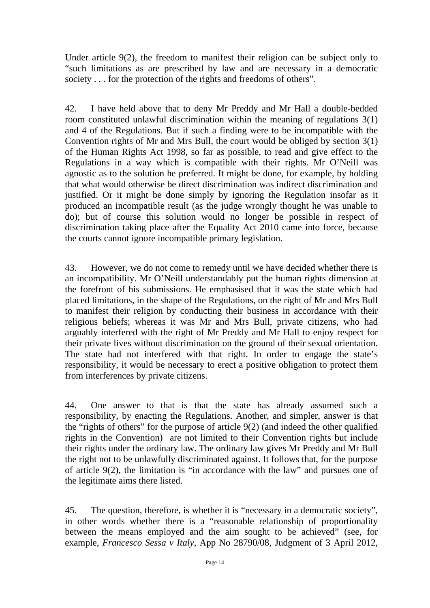Under article 9(2), the freedom to manifest their religion can be subject only to "such limitations as are prescribed by law and are necessary in a democratic society . . . for the protection of the rights and freedoms of others".

42. I have held above that to deny Mr Preddy and Mr Hall a double-bedded room constituted unlawful discrimination within the meaning of regulations 3(1) and 4 of the Regulations. But if such a finding were to be incompatible with the Convention rights of Mr and Mrs Bull, the court would be obliged by section 3(1) of the Human Rights Act 1998, so far as possible, to read and give effect to the Regulations in a way which is compatible with their rights. Mr O'Neill was agnostic as to the solution he preferred. It might be done, for example, by holding that what would otherwise be direct discrimination was indirect discrimination and justified. Or it might be done simply by ignoring the Regulation insofar as it produced an incompatible result (as the judge wrongly thought he was unable to do); but of course this solution would no longer be possible in respect of discrimination taking place after the Equality Act 2010 came into force, because the courts cannot ignore incompatible primary legislation.

43. However, we do not come to remedy until we have decided whether there is an incompatibility. Mr O'Neill understandably put the human rights dimension at the forefront of his submissions. He emphasised that it was the state which had placed limitations, in the shape of the Regulations, on the right of Mr and Mrs Bull to manifest their religion by conducting their business in accordance with their religious beliefs; whereas it was Mr and Mrs Bull, private citizens, who had arguably interfered with the right of Mr Preddy and Mr Hall to enjoy respect for their private lives without discrimination on the ground of their sexual orientation. The state had not interfered with that right. In order to engage the state's responsibility, it would be necessary to erect a positive obligation to protect them from interferences by private citizens.

44. One answer to that is that the state has already assumed such a responsibility, by enacting the Regulations. Another, and simpler, answer is that the "rights of others" for the purpose of article 9(2) (and indeed the other qualified rights in the Convention) are not limited to their Convention rights but include their rights under the ordinary law. The ordinary law gives Mr Preddy and Mr Bull the right not to be unlawfully discriminated against. It follows that, for the purpose of article 9(2), the limitation is "in accordance with the law" and pursues one of the legitimate aims there listed.

45. The question, therefore, is whether it is "necessary in a democratic society", in other words whether there is a "reasonable relationship of proportionality between the means employed and the aim sought to be achieved" (see, for example, *Francesco Sessa v Italy*, App No 28790/08, Judgment of 3 April 2012,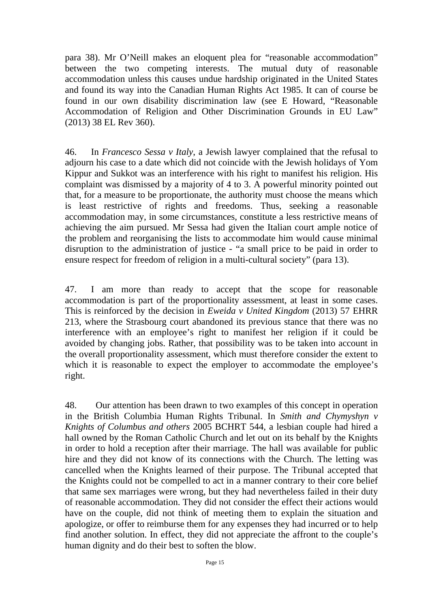para 38). Mr O'Neill makes an eloquent plea for "reasonable accommodation" between the two competing interests. The mutual duty of reasonable accommodation unless this causes undue hardship originated in the United States and found its way into the Canadian Human Rights Act 1985. It can of course be found in our own disability discrimination law (see E Howard, "Reasonable Accommodation of Religion and Other Discrimination Grounds in EU Law" (2013) 38 EL Rev 360).

46. In *Francesco Sessa v Italy*, a Jewish lawyer complained that the refusal to adjourn his case to a date which did not coincide with the Jewish holidays of Yom Kippur and Sukkot was an interference with his right to manifest his religion. His complaint was dismissed by a majority of 4 to 3. A powerful minority pointed out that, for a measure to be proportionate, the authority must choose the means which is least restrictive of rights and freedoms. Thus, seeking a reasonable accommodation may, in some circumstances, constitute a less restrictive means of achieving the aim pursued. Mr Sessa had given the Italian court ample notice of the problem and reorganising the lists to accommodate him would cause minimal disruption to the administration of justice - "a small price to be paid in order to ensure respect for freedom of religion in a multi-cultural society" (para 13).

47. I am more than ready to accept that the scope for reasonable accommodation is part of the proportionality assessment, at least in some cases. This is reinforced by the decision in *Eweida v United Kingdom* (2013) 57 EHRR 213, where the Strasbourg court abandoned its previous stance that there was no interference with an employee's right to manifest her religion if it could be avoided by changing jobs. Rather, that possibility was to be taken into account in the overall proportionality assessment, which must therefore consider the extent to which it is reasonable to expect the employer to accommodate the employee's right.

48. Our attention has been drawn to two examples of this concept in operation in the British Columbia Human Rights Tribunal. In *Smith and Chymyshyn v Knights of Columbus and others* 2005 BCHRT 544, a lesbian couple had hired a hall owned by the Roman Catholic Church and let out on its behalf by the Knights in order to hold a reception after their marriage. The hall was available for public hire and they did not know of its connections with the Church. The letting was cancelled when the Knights learned of their purpose. The Tribunal accepted that the Knights could not be compelled to act in a manner contrary to their core belief that same sex marriages were wrong, but they had nevertheless failed in their duty of reasonable accommodation. They did not consider the effect their actions would have on the couple, did not think of meeting them to explain the situation and apologize, or offer to reimburse them for any expenses they had incurred or to help find another solution. In effect, they did not appreciate the affront to the couple's human dignity and do their best to soften the blow.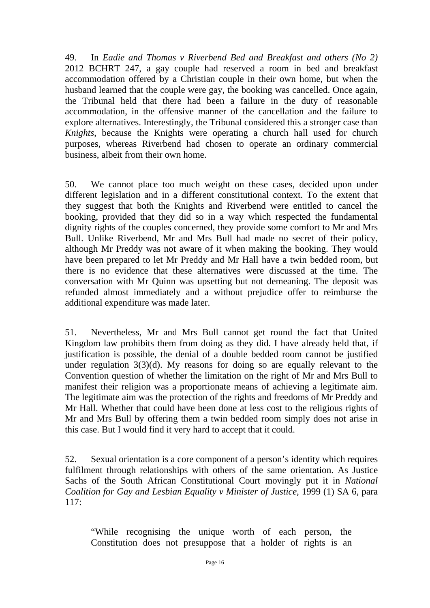49. In *Eadie and Thomas v Riverbend Bed and Breakfast and others (No 2)*  2012 BCHRT 247, a gay couple had reserved a room in bed and breakfast accommodation offered by a Christian couple in their own home, but when the husband learned that the couple were gay, the booking was cancelled. Once again, the Tribunal held that there had been a failure in the duty of reasonable accommodation, in the offensive manner of the cancellation and the failure to explore alternatives. Interestingly, the Tribunal considered this a stronger case than *Knights*, because the Knights were operating a church hall used for church purposes, whereas Riverbend had chosen to operate an ordinary commercial business, albeit from their own home.

50. We cannot place too much weight on these cases, decided upon under different legislation and in a different constitutional context. To the extent that they suggest that both the Knights and Riverbend were entitled to cancel the booking, provided that they did so in a way which respected the fundamental dignity rights of the couples concerned, they provide some comfort to Mr and Mrs Bull. Unlike Riverbend, Mr and Mrs Bull had made no secret of their policy, although Mr Preddy was not aware of it when making the booking. They would have been prepared to let Mr Preddy and Mr Hall have a twin bedded room, but there is no evidence that these alternatives were discussed at the time. The conversation with Mr Quinn was upsetting but not demeaning. The deposit was refunded almost immediately and a without prejudice offer to reimburse the additional expenditure was made later.

51. Nevertheless, Mr and Mrs Bull cannot get round the fact that United Kingdom law prohibits them from doing as they did. I have already held that, if justification is possible, the denial of a double bedded room cannot be justified under regulation 3(3)(d). My reasons for doing so are equally relevant to the Convention question of whether the limitation on the right of Mr and Mrs Bull to manifest their religion was a proportionate means of achieving a legitimate aim. The legitimate aim was the protection of the rights and freedoms of Mr Preddy and Mr Hall. Whether that could have been done at less cost to the religious rights of Mr and Mrs Bull by offering them a twin bedded room simply does not arise in this case. But I would find it very hard to accept that it could.

52. Sexual orientation is a core component of a person's identity which requires fulfilment through relationships with others of the same orientation. As Justice Sachs of the South African Constitutional Court movingly put it in *National Coalition for Gay and Lesbian Equality v Minister of Justice*, 1999 (1) SA 6, para 117:

"While recognising the unique worth of each person, the Constitution does not presuppose that a holder of rights is an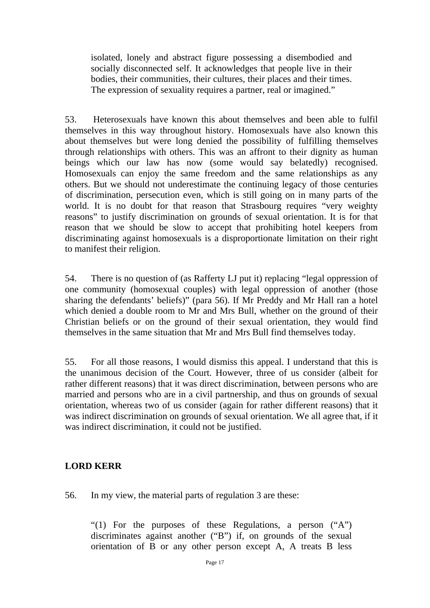isolated, lonely and abstract figure possessing a disembodied and socially disconnected self. It acknowledges that people live in their bodies, their communities, their cultures, their places and their times. The expression of sexuality requires a partner, real or imagined."

53. Heterosexuals have known this about themselves and been able to fulfil themselves in this way throughout history. Homosexuals have also known this about themselves but were long denied the possibility of fulfilling themselves through relationships with others. This was an affront to their dignity as human beings which our law has now (some would say belatedly) recognised. Homosexuals can enjoy the same freedom and the same relationships as any others. But we should not underestimate the continuing legacy of those centuries of discrimination, persecution even, which is still going on in many parts of the world. It is no doubt for that reason that Strasbourg requires "very weighty reasons" to justify discrimination on grounds of sexual orientation. It is for that reason that we should be slow to accept that prohibiting hotel keepers from discriminating against homosexuals is a disproportionate limitation on their right to manifest their religion.

54. There is no question of (as Rafferty LJ put it) replacing "legal oppression of one community (homosexual couples) with legal oppression of another (those sharing the defendants' beliefs)" (para 56). If Mr Preddy and Mr Hall ran a hotel which denied a double room to Mr and Mrs Bull, whether on the ground of their Christian beliefs or on the ground of their sexual orientation, they would find themselves in the same situation that Mr and Mrs Bull find themselves today.

55. For all those reasons, I would dismiss this appeal. I understand that this is the unanimous decision of the Court. However, three of us consider (albeit for rather different reasons) that it was direct discrimination, between persons who are married and persons who are in a civil partnership, and thus on grounds of sexual orientation, whereas two of us consider (again for rather different reasons) that it was indirect discrimination on grounds of sexual orientation. We all agree that, if it was indirect discrimination, it could not be justified.

# **LORD KERR**

56. In my view, the material parts of regulation 3 are these:

"(1) For the purposes of these Regulations, a person ("A") discriminates against another ("B") if, on grounds of the sexual orientation of B or any other person except A, A treats B less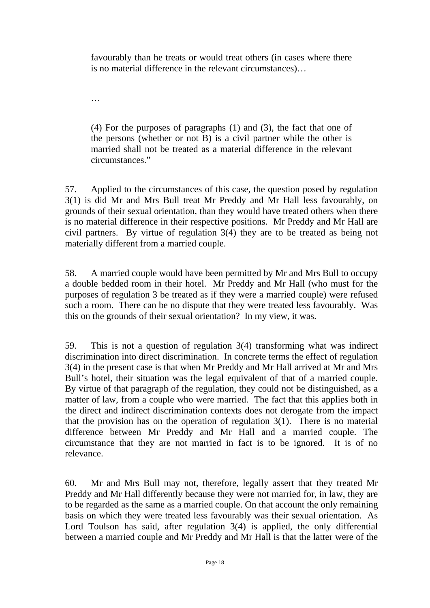favourably than he treats or would treat others (in cases where there is no material difference in the relevant circumstances)…

…

(4) For the purposes of paragraphs (1) and (3), the fact that one of the persons (whether or not B) is a civil partner while the other is married shall not be treated as a material difference in the relevant circumstances."

57. Applied to the circumstances of this case, the question posed by regulation 3(1) is did Mr and Mrs Bull treat Mr Preddy and Mr Hall less favourably, on grounds of their sexual orientation, than they would have treated others when there is no material difference in their respective positions. Mr Preddy and Mr Hall are civil partners. By virtue of regulation 3(4) they are to be treated as being not materially different from a married couple.

58. A married couple would have been permitted by Mr and Mrs Bull to occupy a double bedded room in their hotel. Mr Preddy and Mr Hall (who must for the purposes of regulation 3 be treated as if they were a married couple) were refused such a room. There can be no dispute that they were treated less favourably. Was this on the grounds of their sexual orientation? In my view, it was.

59. This is not a question of regulation 3(4) transforming what was indirect discrimination into direct discrimination. In concrete terms the effect of regulation 3(4) in the present case is that when Mr Preddy and Mr Hall arrived at Mr and Mrs Bull's hotel, their situation was the legal equivalent of that of a married couple. By virtue of that paragraph of the regulation, they could not be distinguished, as a matter of law, from a couple who were married. The fact that this applies both in the direct and indirect discrimination contexts does not derogate from the impact that the provision has on the operation of regulation  $3(1)$ . There is no material difference between Mr Preddy and Mr Hall and a married couple. The circumstance that they are not married in fact is to be ignored. It is of no relevance.

60. Mr and Mrs Bull may not, therefore, legally assert that they treated Mr Preddy and Mr Hall differently because they were not married for, in law, they are to be regarded as the same as a married couple. On that account the only remaining basis on which they were treated less favourably was their sexual orientation. As Lord Toulson has said, after regulation 3(4) is applied, the only differential between a married couple and Mr Preddy and Mr Hall is that the latter were of the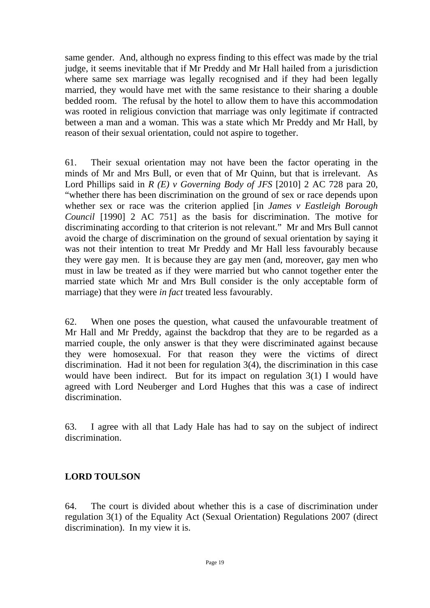same gender. And, although no express finding to this effect was made by the trial judge, it seems inevitable that if Mr Preddy and Mr Hall hailed from a jurisdiction where same sex marriage was legally recognised and if they had been legally married, they would have met with the same resistance to their sharing a double bedded room. The refusal by the hotel to allow them to have this accommodation was rooted in religious conviction that marriage was only legitimate if contracted between a man and a woman. This was a state which Mr Preddy and Mr Hall, by reason of their sexual orientation, could not aspire to together.

61. Their sexual orientation may not have been the factor operating in the minds of Mr and Mrs Bull, or even that of Mr Quinn, but that is irrelevant. As Lord Phillips said in *R (E) v Governing Body of JFS* [2010] 2 AC 728 para 20, "whether there has been discrimination on the ground of sex or race depends upon whether sex or race was the criterion applied [in *James v Eastleigh Borough Council* [1990] 2 AC 751] as the basis for discrimination. The motive for discriminating according to that criterion is not relevant." Mr and Mrs Bull cannot avoid the charge of discrimination on the ground of sexual orientation by saying it was not their intention to treat Mr Preddy and Mr Hall less favourably because they were gay men. It is because they are gay men (and, moreover, gay men who must in law be treated as if they were married but who cannot together enter the married state which Mr and Mrs Bull consider is the only acceptable form of marriage) that they were *in fact* treated less favourably.

62. When one poses the question, what caused the unfavourable treatment of Mr Hall and Mr Preddy, against the backdrop that they are to be regarded as a married couple, the only answer is that they were discriminated against because they were homosexual. For that reason they were the victims of direct discrimination. Had it not been for regulation 3(4), the discrimination in this case would have been indirect. But for its impact on regulation 3(1) I would have agreed with Lord Neuberger and Lord Hughes that this was a case of indirect discrimination.

63. I agree with all that Lady Hale has had to say on the subject of indirect discrimination.

# **LORD TOULSON**

64. The court is divided about whether this is a case of discrimination under regulation 3(1) of the Equality Act (Sexual Orientation) Regulations 2007 (direct discrimination). In my view it is.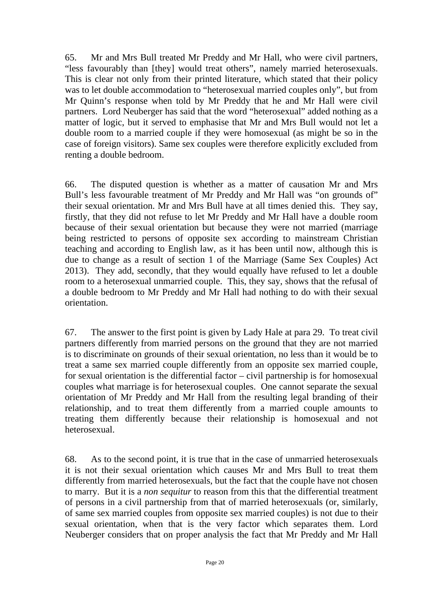65. Mr and Mrs Bull treated Mr Preddy and Mr Hall, who were civil partners, "less favourably than [they] would treat others", namely married heterosexuals. This is clear not only from their printed literature, which stated that their policy was to let double accommodation to "heterosexual married couples only", but from Mr Quinn's response when told by Mr Preddy that he and Mr Hall were civil partners. Lord Neuberger has said that the word "heterosexual" added nothing as a matter of logic, but it served to emphasise that Mr and Mrs Bull would not let a double room to a married couple if they were homosexual (as might be so in the case of foreign visitors). Same sex couples were therefore explicitly excluded from renting a double bedroom.

66. The disputed question is whether as a matter of causation Mr and Mrs Bull's less favourable treatment of Mr Preddy and Mr Hall was "on grounds of" their sexual orientation. Mr and Mrs Bull have at all times denied this. They say, firstly, that they did not refuse to let Mr Preddy and Mr Hall have a double room because of their sexual orientation but because they were not married (marriage being restricted to persons of opposite sex according to mainstream Christian teaching and according to English law, as it has been until now, although this is due to change as a result of section 1 of the Marriage (Same Sex Couples) Act 2013). They add, secondly, that they would equally have refused to let a double room to a heterosexual unmarried couple. This, they say, shows that the refusal of a double bedroom to Mr Preddy and Mr Hall had nothing to do with their sexual orientation.

67. The answer to the first point is given by Lady Hale at para 29. To treat civil partners differently from married persons on the ground that they are not married is to discriminate on grounds of their sexual orientation, no less than it would be to treat a same sex married couple differently from an opposite sex married couple, for sexual orientation is the differential factor – civil partnership is for homosexual couples what marriage is for heterosexual couples. One cannot separate the sexual orientation of Mr Preddy and Mr Hall from the resulting legal branding of their relationship, and to treat them differently from a married couple amounts to treating them differently because their relationship is homosexual and not heterosexual.

68. As to the second point, it is true that in the case of unmarried heterosexuals it is not their sexual orientation which causes Mr and Mrs Bull to treat them differently from married heterosexuals, but the fact that the couple have not chosen to marry. But it is a *non sequitur* to reason from this that the differential treatment of persons in a civil partnership from that of married heterosexuals (or, similarly, of same sex married couples from opposite sex married couples) is not due to their sexual orientation, when that is the very factor which separates them. Lord Neuberger considers that on proper analysis the fact that Mr Preddy and Mr Hall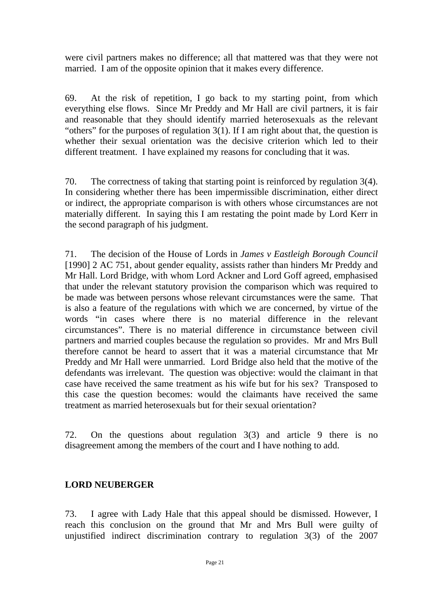were civil partners makes no difference; all that mattered was that they were not married. I am of the opposite opinion that it makes every difference.

69. At the risk of repetition, I go back to my starting point, from which everything else flows. Since Mr Preddy and Mr Hall are civil partners, it is fair and reasonable that they should identify married heterosexuals as the relevant "others" for the purposes of regulation 3(1). If I am right about that, the question is whether their sexual orientation was the decisive criterion which led to their different treatment. I have explained my reasons for concluding that it was.

The correctness of taking that starting point is reinforced by regulation 3(4). 70. The correctness of taking that starting point is reinforced by regulation 3(4). In considering whether there has been impermissible discrimination, either direct or indirect, the appropriate comparison is with others whose circumstances are not materially different. In saying this I am restating the point made by Lord Kerr in the second paragraph of his judgment.

71. The decision of the House of Lords in *James v Eastleigh Borough Council*  [1990] 2 AC 751, about gender equality, assists rather than hinders Mr Preddy and Mr Hall. Lord Bridge, with whom Lord Ackner and Lord Goff agreed, emphasised that under the relevant statutory provision the comparison which was required to be made was between persons whose relevant circumstances were the same. That is also a feature of the regulations with which we are concerned, by virtue of the words "in cases where there is no material difference in the relevant circumstances". There is no material difference in circumstance between civil partners and married couples because the regulation so provides. Mr and Mrs Bull therefore cannot be heard to assert that it was a material circumstance that Mr Preddy and Mr Hall were unmarried. Lord Bridge also held that the motive of the defendants was irrelevant. The question was objective: would the claimant in that case have received the same treatment as his wife but for his sex? Transposed to this case the question becomes: would the claimants have received the same treatment as married heterosexuals but for their sexual orientation?

72. On the questions about regulation 3(3) and article 9 there is no disagreement among the members of the court and I have nothing to add.

#### **LORD NEUBERGER**

73. I agree with Lady Hale that this appeal should be dismissed. However, I reach this conclusion on the ground that Mr and Mrs Bull were guilty of unjustified indirect discrimination contrary to regulation 3(3) of the 2007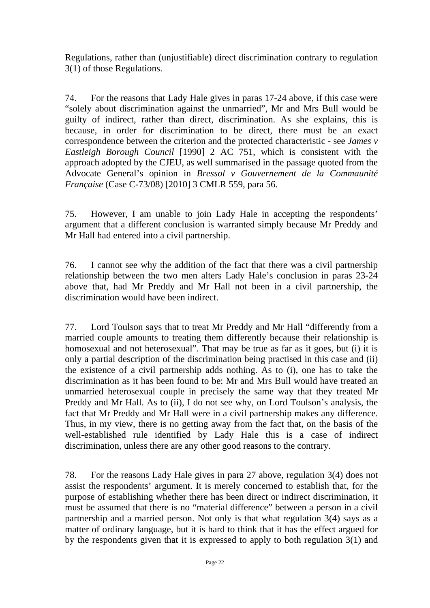Regulations, rather than (unjustifiable) direct discrimination contrary to regulation 3(1) of those Regulations.

74. For the reasons that Lady Hale gives in paras 17-24 above, if this case were "solely about discrimination against the unmarried", Mr and Mrs Bull would be guilty of indirect, rather than direct, discrimination. As she explains, this is because, in order for discrimination to be direct, there must be an exact correspondence between the criterion and the protected characteristic - see *James v Eastleigh Borough Council* [1990] 2 AC 751, which is consistent with the approach adopted by the CJEU, as well summarised in the passage quoted from the Advocate General's opinion in *Bressol v Gouvernement de la Commaunité Française* (Case C-73/08) [2010] 3 CMLR 559, para 56.

75. However, I am unable to join Lady Hale in accepting the respondents' argument that a different conclusion is warranted simply because Mr Preddy and Mr Hall had entered into a civil partnership.

76. I cannot see why the addition of the fact that there was a civil partnership relationship between the two men alters Lady Hale's conclusion in paras 23-24 above that, had Mr Preddy and Mr Hall not been in a civil partnership, the discrimination would have been indirect.

77. Lord Toulson says that to treat Mr Preddy and Mr Hall "differently from a married couple amounts to treating them differently because their relationship is homosexual and not heterosexual". That may be true as far as it goes, but (i) it is only a partial description of the discrimination being practised in this case and (ii) the existence of a civil partnership adds nothing. As to (i), one has to take the discrimination as it has been found to be: Mr and Mrs Bull would have treated an unmarried heterosexual couple in precisely the same way that they treated Mr Preddy and Mr Hall. As to (ii), I do not see why, on Lord Toulson's analysis, the fact that Mr Preddy and Mr Hall were in a civil partnership makes any difference. Thus, in my view, there is no getting away from the fact that, on the basis of the well-established rule identified by Lady Hale this is a case of indirect discrimination, unless there are any other good reasons to the contrary.

78. For the reasons Lady Hale gives in para 27 above, regulation 3(4) does not assist the respondents' argument. It is merely concerned to establish that, for the purpose of establishing whether there has been direct or indirect discrimination, it must be assumed that there is no "material difference" between a person in a civil partnership and a married person. Not only is that what regulation 3(4) says as a matter of ordinary language, but it is hard to think that it has the effect argued for by the respondents given that it is expressed to apply to both regulation 3(1) and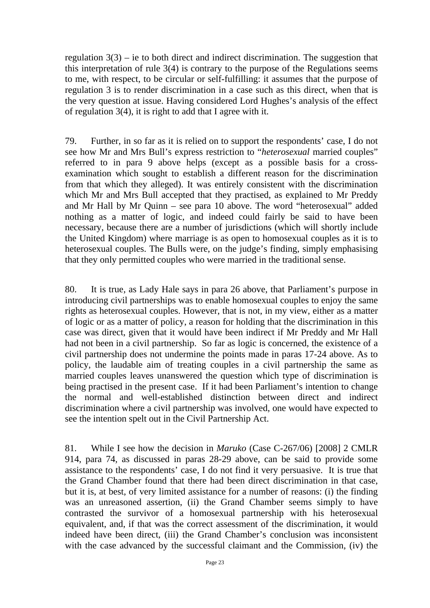regulation 3(3) – ie to both direct and indirect discrimination. The suggestion that this interpretation of rule 3(4) is contrary to the purpose of the Regulations seems to me, with respect, to be circular or self-fulfilling: it assumes that the purpose of regulation 3 is to render discrimination in a case such as this direct, when that is the very question at issue. Having considered Lord Hughes's analysis of the effect of regulation 3(4), it is right to add that I agree with it.

79. Further, in so far as it is relied on to support the respondents' case, I do not see how Mr and Mrs Bull's express restriction to "*heterosexual* married couples" referred to in para 9 above helps (except as a possible basis for a crossexamination which sought to establish a different reason for the discrimination from that which they alleged). It was entirely consistent with the discrimination which Mr and Mrs Bull accepted that they practised, as explained to Mr Preddy and Mr Hall by Mr Quinn – see para 10 above. The word "heterosexual" added nothing as a matter of logic, and indeed could fairly be said to have been necessary, because there are a number of jurisdictions (which will shortly include the United Kingdom) where marriage is as open to homosexual couples as it is to heterosexual couples. The Bulls were, on the judge's finding, simply emphasising that they only permitted couples who were married in the traditional sense.

80. It is true, as Lady Hale says in para 26 above, that Parliament's purpose in introducing civil partnerships was to enable homosexual couples to enjoy the same rights as heterosexual couples. However, that is not, in my view, either as a matter of logic or as a matter of policy, a reason for holding that the discrimination in this case was direct, given that it would have been indirect if Mr Preddy and Mr Hall had not been in a civil partnership. So far as logic is concerned, the existence of a civil partnership does not undermine the points made in paras 17-24 above. As to policy, the laudable aim of treating couples in a civil partnership the same as married couples leaves unanswered the question which type of discrimination is being practised in the present case. If it had been Parliament's intention to change the normal and well-established distinction between direct and indirect discrimination where a civil partnership was involved, one would have expected to see the intention spelt out in the Civil Partnership Act.

81. While I see how the decision in *Maruko* (Case C-267/06) [2008] 2 CMLR 914, para 74, as discussed in paras 28-29 above, can be said to provide some assistance to the respondents' case, I do not find it very persuasive. It is true that the Grand Chamber found that there had been direct discrimination in that case, but it is, at best, of very limited assistance for a number of reasons: (i) the finding was an unreasoned assertion, (ii) the Grand Chamber seems simply to have contrasted the survivor of a homosexual partnership with his heterosexual equivalent, and, if that was the correct assessment of the discrimination, it would indeed have been direct, (iii) the Grand Chamber's conclusion was inconsistent with the case advanced by the successful claimant and the Commission, (iv) the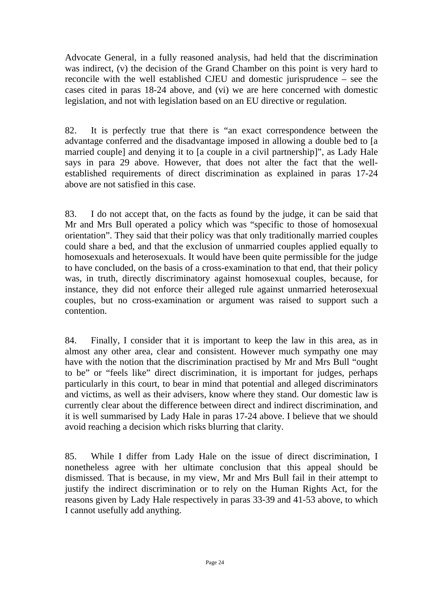Advocate General, in a fully reasoned analysis, had held that the discrimination was indirect, (v) the decision of the Grand Chamber on this point is very hard to reconcile with the well established CJEU and domestic jurisprudence – see the cases cited in paras 18-24 above, and (vi) we are here concerned with domestic legislation, and not with legislation based on an EU directive or regulation.

82. It is perfectly true that there is "an exact correspondence between the advantage conferred and the disadvantage imposed in allowing a double bed to [a married couple] and denying it to [a couple in a civil partnership]", as Lady Hale says in para 29 above. However, that does not alter the fact that the wellestablished requirements of direct discrimination as explained in paras 17-24 above are not satisfied in this case.

83. I do not accept that, on the facts as found by the judge, it can be said that Mr and Mrs Bull operated a policy which was "specific to those of homosexual orientation". They said that their policy was that only traditionally married couples could share a bed, and that the exclusion of unmarried couples applied equally to homosexuals and heterosexuals. It would have been quite permissible for the judge to have concluded, on the basis of a cross-examination to that end, that their policy was, in truth, directly discriminatory against homosexual couples, because, for instance, they did not enforce their alleged rule against unmarried heterosexual couples, but no cross-examination or argument was raised to support such a contention.

84. Finally, I consider that it is important to keep the law in this area, as in almost any other area, clear and consistent. However much sympathy one may have with the notion that the discrimination practised by Mr and Mrs Bull "ought to be" or "feels like" direct discrimination, it is important for judges, perhaps particularly in this court, to bear in mind that potential and alleged discriminators and victims, as well as their advisers, know where they stand. Our domestic law is currently clear about the difference between direct and indirect discrimination, and it is well summarised by Lady Hale in paras 17-24 above. I believe that we should avoid reaching a decision which risks blurring that clarity.

85. While I differ from Lady Hale on the issue of direct discrimination, I nonetheless agree with her ultimate conclusion that this appeal should be dismissed. That is because, in my view, Mr and Mrs Bull fail in their attempt to justify the indirect discrimination or to rely on the Human Rights Act, for the reasons given by Lady Hale respectively in paras 33-39 and 41-53 above, to which I cannot usefully add anything.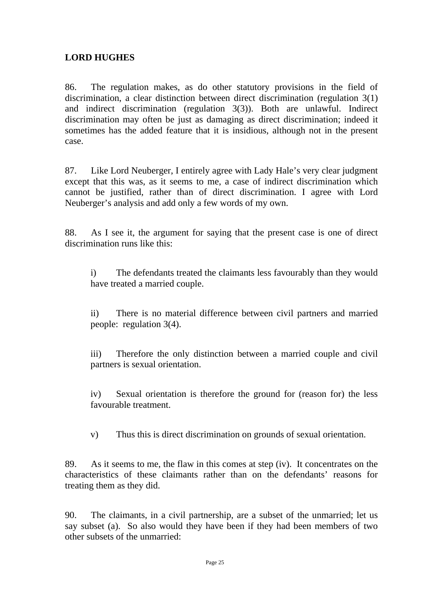# **LORD HUGHES**

86. The regulation makes, as do other statutory provisions in the field of discrimination, a clear distinction between direct discrimination (regulation 3(1) and indirect discrimination (regulation 3(3)). Both are unlawful. Indirect discrimination may often be just as damaging as direct discrimination; indeed it sometimes has the added feature that it is insidious, although not in the present case.

87. Like Lord Neuberger, I entirely agree with Lady Hale's very clear judgment except that this was, as it seems to me, a case of indirect discrimination which cannot be justified, rather than of direct discrimination. I agree with Lord Neuberger's analysis and add only a few words of my own.

88. As I see it, the argument for saying that the present case is one of direct discrimination runs like this:

i) The defendants treated the claimants less favourably than they would have treated a married couple.

ii) There is no material difference between civil partners and married people: regulation 3(4).

iii) Therefore the only distinction between a married couple and civil partners is sexual orientation.

iv) Sexual orientation is therefore the ground for (reason for) the less favourable treatment.

v) Thus this is direct discrimination on grounds of sexual orientation.

89. As it seems to me, the flaw in this comes at step (iv). It concentrates on the characteristics of these claimants rather than on the defendants' reasons for treating them as they did.

90. The claimants, in a civil partnership, are a subset of the unmarried; let us say subset (a). So also would they have been if they had been members of two other subsets of the unmarried: